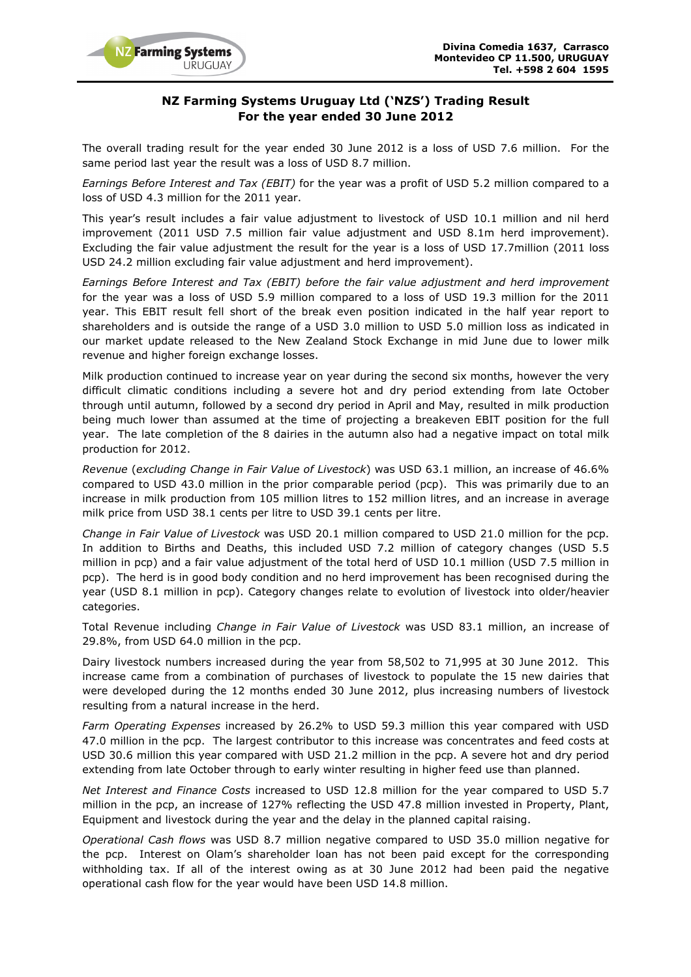## NZ Farming Systems Uruguay Ltd ('NZS') Trading Result For the year ended 30 June 2012

The overall trading result for the year ended 30 June 2012 is a loss of USD 7.6 million. For the same period last year the result was a loss of USD 8.7 million.

Earnings Before Interest and Tax (EBIT) for the year was a profit of USD 5.2 million compared to a loss of USD 4.3 million for the 2011 year.

This year's result includes a fair value adjustment to livestock of USD 10.1 million and nil herd improvement (2011 USD 7.5 million fair value adjustment and USD 8.1m herd improvement). Excluding the fair value adjustment the result for the year is a loss of USD 17.7million (2011 loss USD 24.2 million excluding fair value adjustment and herd improvement).

Earnings Before Interest and Tax (EBIT) before the fair value adjustment and herd improvement for the year was a loss of USD 5.9 million compared to a loss of USD 19.3 million for the 2011 year. This EBIT result fell short of the break even position indicated in the half year report to shareholders and is outside the range of a USD 3.0 million to USD 5.0 million loss as indicated in our market update released to the New Zealand Stock Exchange in mid June due to lower milk revenue and higher foreign exchange losses.

Milk production continued to increase year on year during the second six months, however the very difficult climatic conditions including a severe hot and dry period extending from late October through until autumn, followed by a second dry period in April and May, resulted in milk production being much lower than assumed at the time of projecting a breakeven EBIT position for the full year. The late completion of the 8 dairies in the autumn also had a negative impact on total milk production for 2012.

Revenue (excluding Change in Fair Value of Livestock) was USD 63.1 million, an increase of 46.6% compared to USD 43.0 million in the prior comparable period (pcp). This was primarily due to an increase in milk production from 105 million litres to 152 million litres, and an increase in average milk price from USD 38.1 cents per litre to USD 39.1 cents per litre.

Change in Fair Value of Livestock was USD 20.1 million compared to USD 21.0 million for the pcp. In addition to Births and Deaths, this included USD 7.2 million of category changes (USD 5.5 million in pcp) and a fair value adjustment of the total herd of USD 10.1 million (USD 7.5 million in pcp). The herd is in good body condition and no herd improvement has been recognised during the year (USD 8.1 million in pcp). Category changes relate to evolution of livestock into older/heavier categories.

Total Revenue including Change in Fair Value of Livestock was USD 83.1 million, an increase of 29.8%, from USD 64.0 million in the pcp.

Dairy livestock numbers increased during the year from 58,502 to 71,995 at 30 June 2012. This increase came from a combination of purchases of livestock to populate the 15 new dairies that were developed during the 12 months ended 30 June 2012, plus increasing numbers of livestock resulting from a natural increase in the herd.

Farm Operating Expenses increased by 26.2% to USD 59.3 million this year compared with USD 47.0 million in the pcp. The largest contributor to this increase was concentrates and feed costs at USD 30.6 million this year compared with USD 21.2 million in the pcp. A severe hot and dry period extending from late October through to early winter resulting in higher feed use than planned.

Net Interest and Finance Costs increased to USD 12.8 million for the year compared to USD 5.7 million in the pcp, an increase of 127% reflecting the USD 47.8 million invested in Property, Plant, Equipment and livestock during the year and the delay in the planned capital raising.

Operational Cash flows was USD 8.7 million negative compared to USD 35.0 million negative for the pcp. Interest on Olam's shareholder loan has not been paid except for the corresponding withholding tax. If all of the interest owing as at 30 June 2012 had been paid the negative operational cash flow for the year would have been USD 14.8 million.